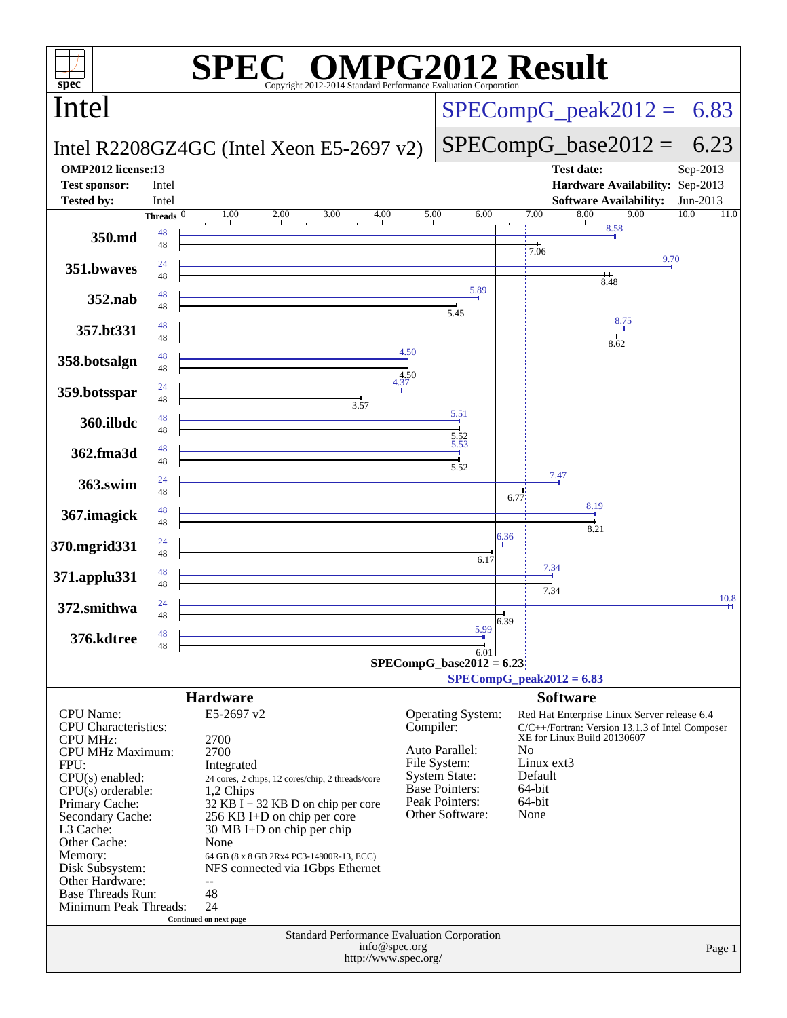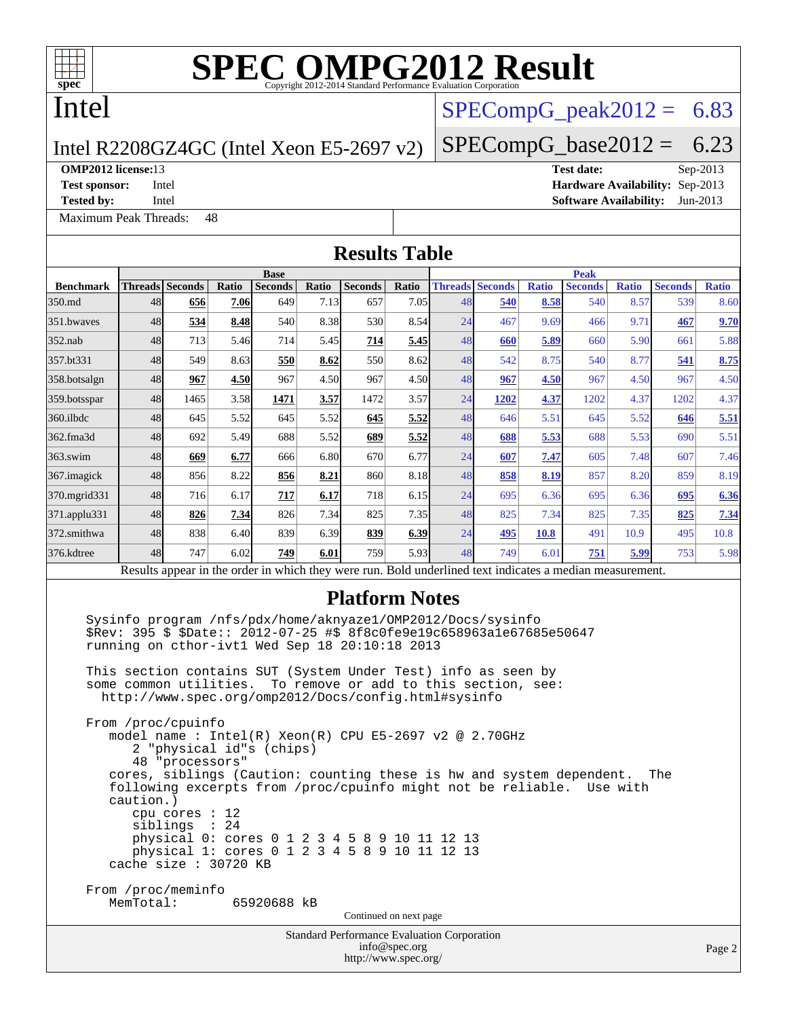

## Intel

## $SPECompG<sub>peak2012</sub> = 6.83$

 $SPECompG_base2012 = 6.23$  $SPECompG_base2012 = 6.23$ 

### Intel R2208GZ4GC (Intel Xeon E5-2697 v2)

[Maximum Peak Threads:](http://www.spec.org/auto/omp2012/Docs/result-fields.html#MaximumPeakThreads) 48

**[OMP2012 license:](http://www.spec.org/auto/omp2012/Docs/result-fields.html#OMP2012license)**13 **[Test date:](http://www.spec.org/auto/omp2012/Docs/result-fields.html#Testdate)** Sep-2013 **[Test sponsor:](http://www.spec.org/auto/omp2012/Docs/result-fields.html#Testsponsor)** Intel **[Hardware Availability:](http://www.spec.org/auto/omp2012/Docs/result-fields.html#HardwareAvailability)** Sep-2013 **[Tested by:](http://www.spec.org/auto/omp2012/Docs/result-fields.html#Testedby)** Intel **[Software Availability:](http://www.spec.org/auto/omp2012/Docs/result-fields.html#SoftwareAvailability)** Jun-2013

**[Results Table](http://www.spec.org/auto/omp2012/Docs/result-fields.html#ResultsTable) [Benchmark](http://www.spec.org/auto/omp2012/Docs/result-fields.html#Benchmark) [Threads](http://www.spec.org/auto/omp2012/Docs/result-fields.html#Threads) [Seconds](http://www.spec.org/auto/omp2012/Docs/result-fields.html#Seconds) [Ratio](http://www.spec.org/auto/omp2012/Docs/result-fields.html#Ratio) [Seconds](http://www.spec.org/auto/omp2012/Docs/result-fields.html#Seconds) [Ratio](http://www.spec.org/auto/omp2012/Docs/result-fields.html#Ratio) [Seconds](http://www.spec.org/auto/omp2012/Docs/result-fields.html#Seconds) [Ratio](http://www.spec.org/auto/omp2012/Docs/result-fields.html#Ratio) Base [Threads](http://www.spec.org/auto/omp2012/Docs/result-fields.html#Threads) [Seconds](http://www.spec.org/auto/omp2012/Docs/result-fields.html#Seconds) [Ratio](http://www.spec.org/auto/omp2012/Docs/result-fields.html#Ratio) [Seconds](http://www.spec.org/auto/omp2012/Docs/result-fields.html#Seconds) [Ratio](http://www.spec.org/auto/omp2012/Docs/result-fields.html#Ratio) [Seconds](http://www.spec.org/auto/omp2012/Docs/result-fields.html#Seconds) [Ratio](http://www.spec.org/auto/omp2012/Docs/result-fields.html#Ratio) Peak** [350.md](http://www.spec.org/auto/omp2012/Docs/350.md.html) 48 **[656](http://www.spec.org/auto/omp2012/Docs/result-fields.html#Median) [7.06](http://www.spec.org/auto/omp2012/Docs/result-fields.html#Median)** 649 7.13 657 7.05 48 **[540](http://www.spec.org/auto/omp2012/Docs/result-fields.html#Median) [8.58](http://www.spec.org/auto/omp2012/Docs/result-fields.html#Median)** 540 8.57 539 8.60 [351.bwaves](http://www.spec.org/auto/omp2012/Docs/351.bwaves.html) 48 **[534](http://www.spec.org/auto/omp2012/Docs/result-fields.html#Median) [8.48](http://www.spec.org/auto/omp2012/Docs/result-fields.html#Median)** 540 8.38 530 8.54 24 467 9.69 466 9.71 **[467](http://www.spec.org/auto/omp2012/Docs/result-fields.html#Median) [9.70](http://www.spec.org/auto/omp2012/Docs/result-fields.html#Median)** [352.nab](http://www.spec.org/auto/omp2012/Docs/352.nab.html) 48 713 5.46 714 5.45 **[714](http://www.spec.org/auto/omp2012/Docs/result-fields.html#Median) [5.45](http://www.spec.org/auto/omp2012/Docs/result-fields.html#Median)** 48 **[660](http://www.spec.org/auto/omp2012/Docs/result-fields.html#Median) [5.89](http://www.spec.org/auto/omp2012/Docs/result-fields.html#Median)** 660 5.90 661 5.88 [357.bt331](http://www.spec.org/auto/omp2012/Docs/357.bt331.html) 48 549 8.63 **[550](http://www.spec.org/auto/omp2012/Docs/result-fields.html#Median) [8.62](http://www.spec.org/auto/omp2012/Docs/result-fields.html#Median)** 550 8.62 48 542 8.75 540 8.77 **[541](http://www.spec.org/auto/omp2012/Docs/result-fields.html#Median) [8.75](http://www.spec.org/auto/omp2012/Docs/result-fields.html#Median)** [358.botsalgn](http://www.spec.org/auto/omp2012/Docs/358.botsalgn.html) 48 **[967](http://www.spec.org/auto/omp2012/Docs/result-fields.html#Median) [4.50](http://www.spec.org/auto/omp2012/Docs/result-fields.html#Median)** 967 4.50 967 4.50 48 **[967](http://www.spec.org/auto/omp2012/Docs/result-fields.html#Median) [4.50](http://www.spec.org/auto/omp2012/Docs/result-fields.html#Median)** 967 4.50 967 4.50 [359.botsspar](http://www.spec.org/auto/omp2012/Docs/359.botsspar.html) 48 1465 3.58 **[1471](http://www.spec.org/auto/omp2012/Docs/result-fields.html#Median) [3.57](http://www.spec.org/auto/omp2012/Docs/result-fields.html#Median)** 1472 3.57 24 **[1202](http://www.spec.org/auto/omp2012/Docs/result-fields.html#Median) [4.37](http://www.spec.org/auto/omp2012/Docs/result-fields.html#Median)** 1202 4.37 1202 4.37 [360.ilbdc](http://www.spec.org/auto/omp2012/Docs/360.ilbdc.html) 48 645 5.52 645 5.52 **[645](http://www.spec.org/auto/omp2012/Docs/result-fields.html#Median) [5.52](http://www.spec.org/auto/omp2012/Docs/result-fields.html#Median)** 48 646 5.51 645 5.52 **[646](http://www.spec.org/auto/omp2012/Docs/result-fields.html#Median) [5.51](http://www.spec.org/auto/omp2012/Docs/result-fields.html#Median)** [362.fma3d](http://www.spec.org/auto/omp2012/Docs/362.fma3d.html) 48 692 5.49 688 5.52 **[689](http://www.spec.org/auto/omp2012/Docs/result-fields.html#Median) [5.52](http://www.spec.org/auto/omp2012/Docs/result-fields.html#Median)** 48 **[688](http://www.spec.org/auto/omp2012/Docs/result-fields.html#Median) [5.53](http://www.spec.org/auto/omp2012/Docs/result-fields.html#Median)** 688 5.53 690 5.51 [363.swim](http://www.spec.org/auto/omp2012/Docs/363.swim.html) 48 **[669](http://www.spec.org/auto/omp2012/Docs/result-fields.html#Median) [6.77](http://www.spec.org/auto/omp2012/Docs/result-fields.html#Median)** 666 6.80 670 6.77 24 **[607](http://www.spec.org/auto/omp2012/Docs/result-fields.html#Median) [7.47](http://www.spec.org/auto/omp2012/Docs/result-fields.html#Median)** 605 7.48 607 7.46 [367.imagick](http://www.spec.org/auto/omp2012/Docs/367.imagick.html) 48 856 8.22 **[856](http://www.spec.org/auto/omp2012/Docs/result-fields.html#Median) [8.21](http://www.spec.org/auto/omp2012/Docs/result-fields.html#Median)** 860 8.18 48 **[858](http://www.spec.org/auto/omp2012/Docs/result-fields.html#Median) [8.19](http://www.spec.org/auto/omp2012/Docs/result-fields.html#Median)** 857 8.20 859 8.19 [370.mgrid331](http://www.spec.org/auto/omp2012/Docs/370.mgrid331.html) 48 716 6.17 **[717](http://www.spec.org/auto/omp2012/Docs/result-fields.html#Median) [6.17](http://www.spec.org/auto/omp2012/Docs/result-fields.html#Median)** 718 6.15 24 695 6.36 695 6.36 **[695](http://www.spec.org/auto/omp2012/Docs/result-fields.html#Median) [6.36](http://www.spec.org/auto/omp2012/Docs/result-fields.html#Median)** [371.applu331](http://www.spec.org/auto/omp2012/Docs/371.applu331.html) 48 **[826](http://www.spec.org/auto/omp2012/Docs/result-fields.html#Median) [7.34](http://www.spec.org/auto/omp2012/Docs/result-fields.html#Median)** 826 7.34 825 7.35 48 825 7.34 825 7.35 **[825](http://www.spec.org/auto/omp2012/Docs/result-fields.html#Median) [7.34](http://www.spec.org/auto/omp2012/Docs/result-fields.html#Median)** [372.smithwa](http://www.spec.org/auto/omp2012/Docs/372.smithwa.html) 48 838 6.40 839 6.39 **[839](http://www.spec.org/auto/omp2012/Docs/result-fields.html#Median) [6.39](http://www.spec.org/auto/omp2012/Docs/result-fields.html#Median)** 24 **[495](http://www.spec.org/auto/omp2012/Docs/result-fields.html#Median) [10.8](http://www.spec.org/auto/omp2012/Docs/result-fields.html#Median)** 491 10.9 495 10.8 [376.kdtree](http://www.spec.org/auto/omp2012/Docs/376.kdtree.html) 48 747 6.02 **[749](http://www.spec.org/auto/omp2012/Docs/result-fields.html#Median) [6.01](http://www.spec.org/auto/omp2012/Docs/result-fields.html#Median)** 759 5.93 48 749 6.01 **[751](http://www.spec.org/auto/omp2012/Docs/result-fields.html#Median) [5.99](http://www.spec.org/auto/omp2012/Docs/result-fields.html#Median)** 753 5.98 Results appear in the [order in which they were run.](http://www.spec.org/auto/omp2012/Docs/result-fields.html#RunOrder) Bold underlined text [indicates a median measurement.](http://www.spec.org/auto/omp2012/Docs/result-fields.html#Median) **[Platform Notes](http://www.spec.org/auto/omp2012/Docs/result-fields.html#PlatformNotes)** Sysinfo program /nfs/pdx/home/aknyaze1/OMP2012/Docs/sysinfo \$Rev: 395 \$ \$Date:: 2012-07-25 #\$ 8f8c0fe9e19c658963a1e67685e50647 running on cthor-ivt1 Wed Sep 18 20:10:18 2013 This section contains SUT (System Under Test) info as seen by some common utilities. To remove or add to this section, see: <http://www.spec.org/omp2012/Docs/config.html#sysinfo> From /proc/cpuinfo model name : Intel(R) Xeon(R) CPU E5-2697 v2 @ 2.70GHz 2 "physical id"s (chips) 48 "processors" cores, siblings (Caution: counting these is hw and system dependent. The

 following excerpts from /proc/cpuinfo might not be reliable. Use with caution.) cpu cores : 12 siblings : 24 physical 0: cores 0 1 2 3 4 5 8 9 10 11 12 13 physical 1: cores 0 1 2 3 4 5 8 9 10 11 12 13 cache size : 30720 KB

From /proc/meminfo<br>MemTotal: 65920688 kB

Continued on next page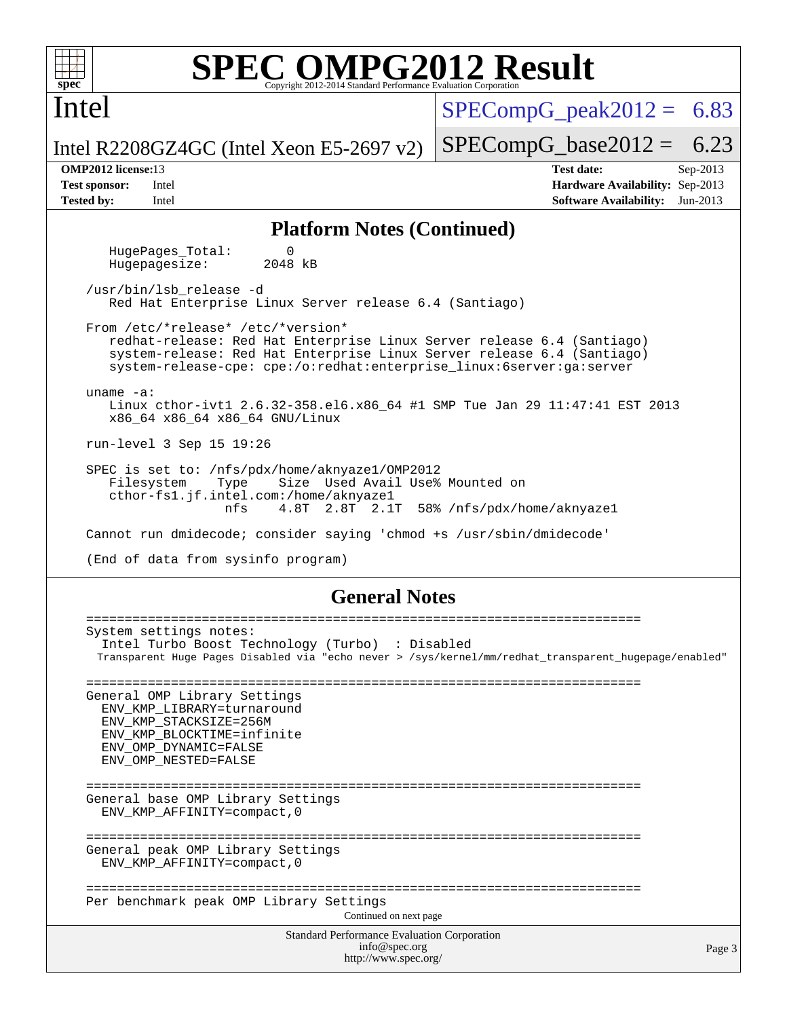

Intel

# **[SPEC OMPG2012 Result](http://www.spec.org/auto/omp2012/Docs/result-fields.html#SPECOMPG2012Result)**

 $SPECompG<sub>peak2012</sub> = 6.83$ 

 $SPECompG_base2012 = 6.23$  $SPECompG_base2012 = 6.23$ 

Intel R2208GZ4GC (Intel Xeon E5-2697 v2)

**[OMP2012 license:](http://www.spec.org/auto/omp2012/Docs/result-fields.html#OMP2012license)**13 **[Test date:](http://www.spec.org/auto/omp2012/Docs/result-fields.html#Testdate)** Sep-2013 **[Test sponsor:](http://www.spec.org/auto/omp2012/Docs/result-fields.html#Testsponsor)** Intel **[Hardware Availability:](http://www.spec.org/auto/omp2012/Docs/result-fields.html#HardwareAvailability)** Sep-2013 **[Tested by:](http://www.spec.org/auto/omp2012/Docs/result-fields.html#Testedby)** Intel **[Software Availability:](http://www.spec.org/auto/omp2012/Docs/result-fields.html#SoftwareAvailability)** Jun-2013

### **[Platform Notes \(Continued\)](http://www.spec.org/auto/omp2012/Docs/result-fields.html#PlatformNotes)**

HugePages\_Total: 0<br>Hugepagesize: 2048 kB Hugepagesize:

 /usr/bin/lsb\_release -d Red Hat Enterprise Linux Server release 6.4 (Santiago)

 From /etc/\*release\* /etc/\*version\* redhat-release: Red Hat Enterprise Linux Server release 6.4 (Santiago) system-release: Red Hat Enterprise Linux Server release 6.4 (Santiago) system-release-cpe: cpe:/o:redhat:enterprise\_linux:6server:ga:server

 uname -a: Linux cthor-ivt1 2.6.32-358.el6.x86\_64 #1 SMP Tue Jan 29 11:47:41 EST 2013 x86\_64 x86\_64 x86\_64 GNU/Linux

run-level 3 Sep 15 19:26

 SPEC is set to: /nfs/pdx/home/aknyaze1/OMP2012 Filesystem Type Size Used Avail Use% Mounted on cthor-fs1.jf.intel.com:/home/aknyaze1 nfs 4.8T 2.8T 2.1T 58% /nfs/pdx/home/aknyaze1

Cannot run dmidecode; consider saying 'chmod +s /usr/sbin/dmidecode'

(End of data from sysinfo program)

### **[General Notes](http://www.spec.org/auto/omp2012/Docs/result-fields.html#GeneralNotes)**

Standard Performance Evaluation Corporation [info@spec.org](mailto:info@spec.org) <http://www.spec.org/> ======================================================================== System settings notes: Intel Turbo Boost Technology (Turbo) : Disabled Transparent Huge Pages Disabled via "echo never > /sys/kernel/mm/redhat\_transparent\_hugepage/enabled" ======================================================================== General OMP Library Settings ENV\_KMP\_LIBRARY=turnaround ENV\_KMP\_STACKSIZE=256M ENV\_KMP\_BLOCKTIME=infinite ENV\_OMP\_DYNAMIC=FALSE ENV\_OMP\_NESTED=FALSE ======================================================================== General base OMP Library Settings ENV\_KMP\_AFFINITY=compact,0 ======================================================================== General peak OMP Library Settings ENV\_KMP\_AFFINITY=compact,0 ======================================================================== Per benchmark peak OMP Library Settings Continued on next page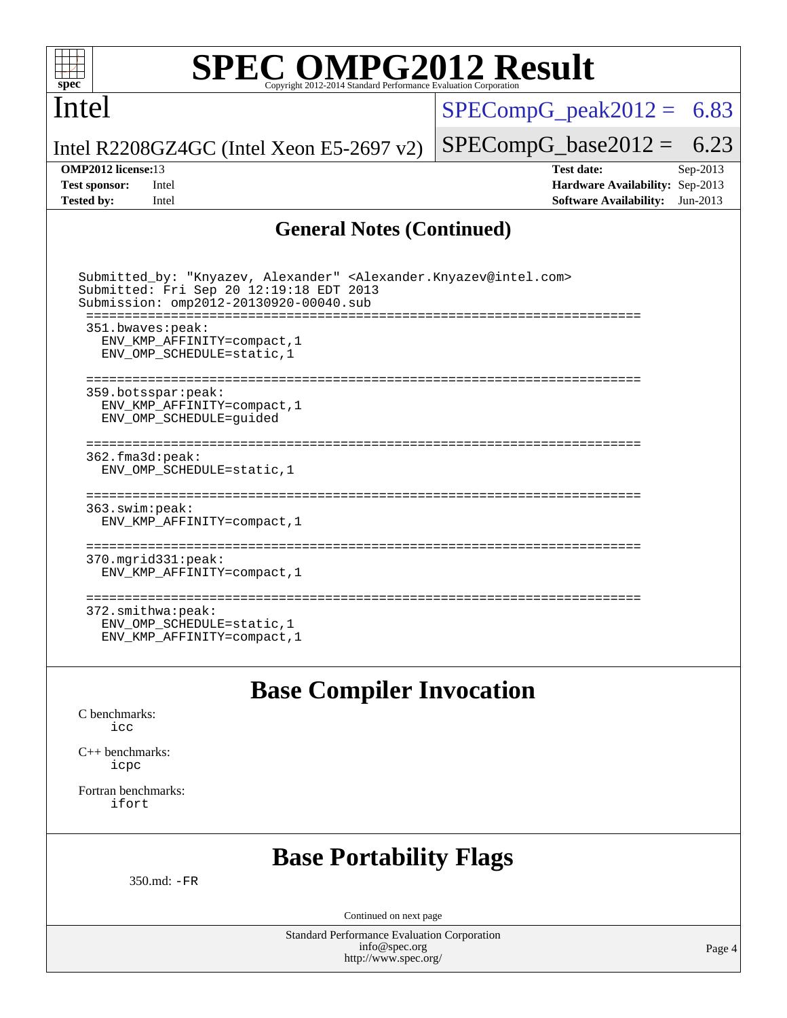

## Intel

 $SPECompG_peak2012 = 6.83$  $SPECompG_peak2012 = 6.83$ 

Intel R2208GZ4GC (Intel Xeon E5-2697 v2)

**[Tested by:](http://www.spec.org/auto/omp2012/Docs/result-fields.html#Testedby)** Intel **[Software Availability:](http://www.spec.org/auto/omp2012/Docs/result-fields.html#SoftwareAvailability)** Jun-2013

 $SPECompG_base2012 = 6.23$  $SPECompG_base2012 = 6.23$ **[OMP2012 license:](http://www.spec.org/auto/omp2012/Docs/result-fields.html#OMP2012license)**13 **[Test date:](http://www.spec.org/auto/omp2012/Docs/result-fields.html#Testdate)** Sep-2013 **[Test sponsor:](http://www.spec.org/auto/omp2012/Docs/result-fields.html#Testsponsor)** Intel **[Hardware Availability:](http://www.spec.org/auto/omp2012/Docs/result-fields.html#HardwareAvailability)** Sep-2013

### **[General Notes \(Continued\)](http://www.spec.org/auto/omp2012/Docs/result-fields.html#GeneralNotes)**

| Submitted by: "Knyazev, Alexander" <alexander.knyazev@intel.com><br/>Submitted: Fri Sep 20 12:19:18 EDT 2013<br/>Submission: omp2012-20130920-00040.sub</alexander.knyazev@intel.com> |
|---------------------------------------------------------------------------------------------------------------------------------------------------------------------------------------|
| 351.bwaves:peak:<br>ENV KMP AFFINITY=compact, 1<br>ENV OMP SCHEDULE=static, 1                                                                                                         |
| 359.botsspar:peak:<br>ENV KMP AFFINITY=compact, 1<br>ENV OMP SCHEDULE=quided                                                                                                          |
| 362.fma3d:peak:<br>ENV OMP SCHEDULE=static, 1                                                                                                                                         |
| 363.swim:peak:<br>ENV KMP AFFINITY=compact, 1                                                                                                                                         |
| 370.mgrid331:peak:<br>ENV KMP AFFINITY=compact, 1                                                                                                                                     |
| $372.\text{smithwa:peak}:$<br>ENV OMP SCHEDULE=static, 1<br>ENV KMP AFFINITY=compact, 1                                                                                               |

**[Base Compiler Invocation](http://www.spec.org/auto/omp2012/Docs/result-fields.html#BaseCompilerInvocation)**

[C benchmarks](http://www.spec.org/auto/omp2012/Docs/result-fields.html#Cbenchmarks): [icc](http://www.spec.org/omp2012/results/res2013q4/omp2012-20130920-00040.flags.html#user_CCbase_intel_icc_a87c68a857bc5ec5362391a49d3a37a6)

[C++ benchmarks:](http://www.spec.org/auto/omp2012/Docs/result-fields.html#CXXbenchmarks) [icpc](http://www.spec.org/omp2012/results/res2013q4/omp2012-20130920-00040.flags.html#user_CXXbase_intel_icpc_2d899f8d163502b12eb4a60069f80c1c)

[Fortran benchmarks](http://www.spec.org/auto/omp2012/Docs/result-fields.html#Fortranbenchmarks): [ifort](http://www.spec.org/omp2012/results/res2013q4/omp2012-20130920-00040.flags.html#user_FCbase_intel_ifort_8a5e5e06b19a251bdeaf8fdab5d62f20)

## **[Base Portability Flags](http://www.spec.org/auto/omp2012/Docs/result-fields.html#BasePortabilityFlags)**

350.md: [-FR](http://www.spec.org/omp2012/results/res2013q4/omp2012-20130920-00040.flags.html#user_baseFPORTABILITY350_md_f-FR)

Continued on next page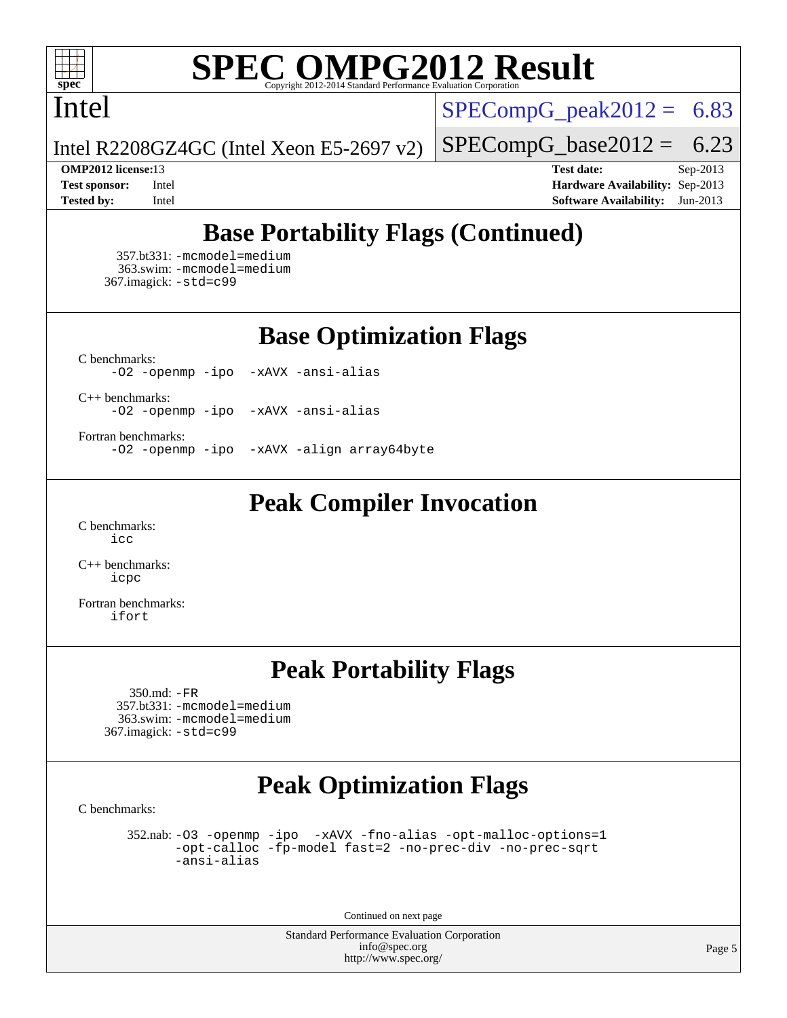

## Intel

 $SPECompG_peak2012 = 6.83$  $SPECompG_peak2012 = 6.83$ 

 $SPECompG_base2012 = 6.23$  $SPECompG_base2012 = 6.23$ 

Intel R2208GZ4GC (Intel Xeon E5-2697 v2)

**[OMP2012 license:](http://www.spec.org/auto/omp2012/Docs/result-fields.html#OMP2012license)**13 **[Test date:](http://www.spec.org/auto/omp2012/Docs/result-fields.html#Testdate)** Sep-2013 **[Test sponsor:](http://www.spec.org/auto/omp2012/Docs/result-fields.html#Testsponsor)** Intel **[Hardware Availability:](http://www.spec.org/auto/omp2012/Docs/result-fields.html#HardwareAvailability)** Sep-2013 **[Tested by:](http://www.spec.org/auto/omp2012/Docs/result-fields.html#Testedby)** Intel **[Software Availability:](http://www.spec.org/auto/omp2012/Docs/result-fields.html#SoftwareAvailability)** Jun-2013

## **[Base Portability Flags \(Continued\)](http://www.spec.org/auto/omp2012/Docs/result-fields.html#BasePortabilityFlags)**

 357.bt331: [-mcmodel=medium](http://www.spec.org/omp2012/results/res2013q4/omp2012-20130920-00040.flags.html#user_basePORTABILITY357_bt331_f-mcmodel_3a41622424bdd074c4f0f2d2f224c7e5) 363.swim: [-mcmodel=medium](http://www.spec.org/omp2012/results/res2013q4/omp2012-20130920-00040.flags.html#user_basePORTABILITY363_swim_f-mcmodel_3a41622424bdd074c4f0f2d2f224c7e5) 367.imagick: [-std=c99](http://www.spec.org/omp2012/results/res2013q4/omp2012-20130920-00040.flags.html#user_baseCPORTABILITY367_imagick_f-std_2ec6533b6e06f1c4a6c9b78d9e9cde24)

**[Base Optimization Flags](http://www.spec.org/auto/omp2012/Docs/result-fields.html#BaseOptimizationFlags)**

[C benchmarks](http://www.spec.org/auto/omp2012/Docs/result-fields.html#Cbenchmarks): [-O2](http://www.spec.org/omp2012/results/res2013q4/omp2012-20130920-00040.flags.html#user_CCbase_f-O2) [-openmp](http://www.spec.org/omp2012/results/res2013q4/omp2012-20130920-00040.flags.html#user_CCbase_f-openmp) [-ipo](http://www.spec.org/omp2012/results/res2013q4/omp2012-20130920-00040.flags.html#user_CCbase_f-ipo_84062ab53814f613187d02344b8f49a7) [-xAVX](http://www.spec.org/omp2012/results/res2013q4/omp2012-20130920-00040.flags.html#user_CCbase_f-xAVX) [-ansi-alias](http://www.spec.org/omp2012/results/res2013q4/omp2012-20130920-00040.flags.html#user_CCbase_f-ansi-alias)

[C++ benchmarks:](http://www.spec.org/auto/omp2012/Docs/result-fields.html#CXXbenchmarks) [-O2](http://www.spec.org/omp2012/results/res2013q4/omp2012-20130920-00040.flags.html#user_CXXbase_f-O2) [-openmp](http://www.spec.org/omp2012/results/res2013q4/omp2012-20130920-00040.flags.html#user_CXXbase_f-openmp) [-ipo](http://www.spec.org/omp2012/results/res2013q4/omp2012-20130920-00040.flags.html#user_CXXbase_f-ipo_84062ab53814f613187d02344b8f49a7) [-xAVX](http://www.spec.org/omp2012/results/res2013q4/omp2012-20130920-00040.flags.html#user_CXXbase_f-xAVX) [-ansi-alias](http://www.spec.org/omp2012/results/res2013q4/omp2012-20130920-00040.flags.html#user_CXXbase_f-ansi-alias)

[Fortran benchmarks](http://www.spec.org/auto/omp2012/Docs/result-fields.html#Fortranbenchmarks):

[-O2](http://www.spec.org/omp2012/results/res2013q4/omp2012-20130920-00040.flags.html#user_FCbase_f-O2) [-openmp](http://www.spec.org/omp2012/results/res2013q4/omp2012-20130920-00040.flags.html#user_FCbase_f-openmp) [-ipo](http://www.spec.org/omp2012/results/res2013q4/omp2012-20130920-00040.flags.html#user_FCbase_f-ipo_84062ab53814f613187d02344b8f49a7) [-xAVX](http://www.spec.org/omp2012/results/res2013q4/omp2012-20130920-00040.flags.html#user_FCbase_f-xAVX) [-align array64byte](http://www.spec.org/omp2012/results/res2013q4/omp2012-20130920-00040.flags.html#user_FCbase_f-align_c9377f996e966d652baaf753401d4725)

## **[Peak Compiler Invocation](http://www.spec.org/auto/omp2012/Docs/result-fields.html#PeakCompilerInvocation)**

[C benchmarks](http://www.spec.org/auto/omp2012/Docs/result-fields.html#Cbenchmarks): [icc](http://www.spec.org/omp2012/results/res2013q4/omp2012-20130920-00040.flags.html#user_CCpeak_intel_icc_a87c68a857bc5ec5362391a49d3a37a6)

[C++ benchmarks:](http://www.spec.org/auto/omp2012/Docs/result-fields.html#CXXbenchmarks) [icpc](http://www.spec.org/omp2012/results/res2013q4/omp2012-20130920-00040.flags.html#user_CXXpeak_intel_icpc_2d899f8d163502b12eb4a60069f80c1c)

[Fortran benchmarks](http://www.spec.org/auto/omp2012/Docs/result-fields.html#Fortranbenchmarks): [ifort](http://www.spec.org/omp2012/results/res2013q4/omp2012-20130920-00040.flags.html#user_FCpeak_intel_ifort_8a5e5e06b19a251bdeaf8fdab5d62f20)

## **[Peak Portability Flags](http://www.spec.org/auto/omp2012/Docs/result-fields.html#PeakPortabilityFlags)**

 350.md: [-FR](http://www.spec.org/omp2012/results/res2013q4/omp2012-20130920-00040.flags.html#user_peakFPORTABILITY350_md_f-FR) 357.bt331: [-mcmodel=medium](http://www.spec.org/omp2012/results/res2013q4/omp2012-20130920-00040.flags.html#user_peakPORTABILITY357_bt331_f-mcmodel_3a41622424bdd074c4f0f2d2f224c7e5) 363.swim: [-mcmodel=medium](http://www.spec.org/omp2012/results/res2013q4/omp2012-20130920-00040.flags.html#user_peakPORTABILITY363_swim_f-mcmodel_3a41622424bdd074c4f0f2d2f224c7e5) 367.imagick: [-std=c99](http://www.spec.org/omp2012/results/res2013q4/omp2012-20130920-00040.flags.html#user_peakCPORTABILITY367_imagick_f-std_2ec6533b6e06f1c4a6c9b78d9e9cde24)

## **[Peak Optimization Flags](http://www.spec.org/auto/omp2012/Docs/result-fields.html#PeakOptimizationFlags)**

[C benchmarks](http://www.spec.org/auto/omp2012/Docs/result-fields.html#Cbenchmarks):

 352.nab: [-O3](http://www.spec.org/omp2012/results/res2013q4/omp2012-20130920-00040.flags.html#user_peakOPTIMIZE352_nab_f-O3) [-openmp](http://www.spec.org/omp2012/results/res2013q4/omp2012-20130920-00040.flags.html#user_peakOPTIMIZE352_nab_f-openmp) [-ipo](http://www.spec.org/omp2012/results/res2013q4/omp2012-20130920-00040.flags.html#user_peakOPTIMIZE352_nab_f-ipo_84062ab53814f613187d02344b8f49a7) [-xAVX](http://www.spec.org/omp2012/results/res2013q4/omp2012-20130920-00040.flags.html#user_peakOPTIMIZE352_nab_f-xAVX) [-fno-alias](http://www.spec.org/omp2012/results/res2013q4/omp2012-20130920-00040.flags.html#user_peakOPTIMIZE352_nab_f-no-alias_694e77f6c5a51e658e82ccff53a9e63a) [-opt-malloc-options=1](http://www.spec.org/omp2012/results/res2013q4/omp2012-20130920-00040.flags.html#user_peakOPTIMIZE352_nab_f-opt-malloc-options_d882ffc6ff87e51efe45f9a5190004b0) [-opt-calloc](http://www.spec.org/omp2012/results/res2013q4/omp2012-20130920-00040.flags.html#user_peakOPTIMIZE352_nab_f-opt-calloc) [-fp-model fast=2](http://www.spec.org/omp2012/results/res2013q4/omp2012-20130920-00040.flags.html#user_peakOPTIMIZE352_nab_f-fp-model_a7fb8ccb7275e23f0079632c153cfcab) [-no-prec-div](http://www.spec.org/omp2012/results/res2013q4/omp2012-20130920-00040.flags.html#user_peakOPTIMIZE352_nab_f-no-prec-div) [-no-prec-sqrt](http://www.spec.org/omp2012/results/res2013q4/omp2012-20130920-00040.flags.html#user_peakOPTIMIZE352_nab_f-no-prec-sqrt) [-ansi-alias](http://www.spec.org/omp2012/results/res2013q4/omp2012-20130920-00040.flags.html#user_peakCOPTIMIZE352_nab_f-ansi-alias)

Continued on next page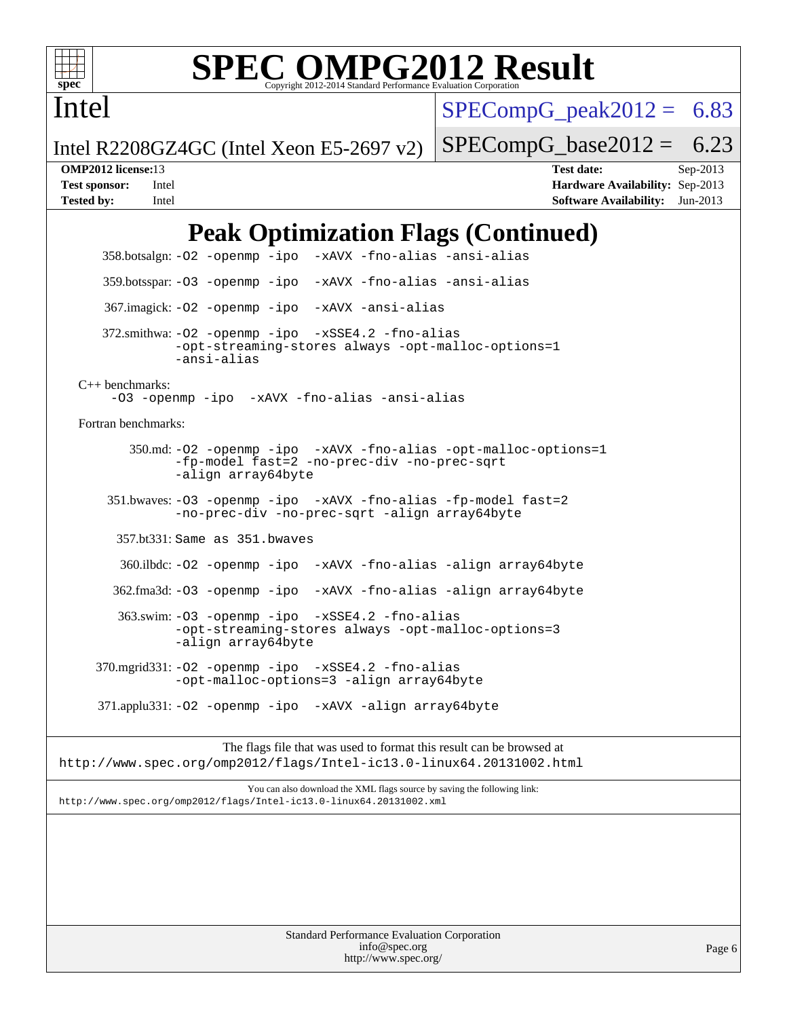

Intel

# **[SPEC OMPG2012 Result](http://www.spec.org/auto/omp2012/Docs/result-fields.html#SPECOMPG2012Result)**

 $SPECompG_peak2012 = 6.83$  $SPECompG_peak2012 = 6.83$ 

 $SPECompG_base2012 = 6.23$  $SPECompG_base2012 = 6.23$ 

Intel R2208GZ4GC (Intel Xeon E5-2697 v2)

**[OMP2012 license:](http://www.spec.org/auto/omp2012/Docs/result-fields.html#OMP2012license)**13 **[Test date:](http://www.spec.org/auto/omp2012/Docs/result-fields.html#Testdate)** Sep-2013 **[Test sponsor:](http://www.spec.org/auto/omp2012/Docs/result-fields.html#Testsponsor)** Intel **[Hardware Availability:](http://www.spec.org/auto/omp2012/Docs/result-fields.html#HardwareAvailability)** Sep-2013 **[Tested by:](http://www.spec.org/auto/omp2012/Docs/result-fields.html#Testedby)** Intel **[Software Availability:](http://www.spec.org/auto/omp2012/Docs/result-fields.html#SoftwareAvailability)** Jun-2013

## **[Peak Optimization Flags \(Continued\)](http://www.spec.org/auto/omp2012/Docs/result-fields.html#PeakOptimizationFlags)**

 358.botsalgn: [-O2](http://www.spec.org/omp2012/results/res2013q4/omp2012-20130920-00040.flags.html#user_peakOPTIMIZE358_botsalgn_f-O2) [-openmp](http://www.spec.org/omp2012/results/res2013q4/omp2012-20130920-00040.flags.html#user_peakOPTIMIZE358_botsalgn_f-openmp) [-ipo](http://www.spec.org/omp2012/results/res2013q4/omp2012-20130920-00040.flags.html#user_peakOPTIMIZE358_botsalgn_f-ipo_84062ab53814f613187d02344b8f49a7) [-xAVX](http://www.spec.org/omp2012/results/res2013q4/omp2012-20130920-00040.flags.html#user_peakOPTIMIZE358_botsalgn_f-xAVX) [-fno-alias](http://www.spec.org/omp2012/results/res2013q4/omp2012-20130920-00040.flags.html#user_peakOPTIMIZE358_botsalgn_f-no-alias_694e77f6c5a51e658e82ccff53a9e63a) [-ansi-alias](http://www.spec.org/omp2012/results/res2013q4/omp2012-20130920-00040.flags.html#user_peakCOPTIMIZE358_botsalgn_f-ansi-alias) 359.botsspar: [-O3](http://www.spec.org/omp2012/results/res2013q4/omp2012-20130920-00040.flags.html#user_peakOPTIMIZE359_botsspar_f-O3) [-openmp](http://www.spec.org/omp2012/results/res2013q4/omp2012-20130920-00040.flags.html#user_peakOPTIMIZE359_botsspar_f-openmp) [-ipo](http://www.spec.org/omp2012/results/res2013q4/omp2012-20130920-00040.flags.html#user_peakOPTIMIZE359_botsspar_f-ipo_84062ab53814f613187d02344b8f49a7) [-xAVX](http://www.spec.org/omp2012/results/res2013q4/omp2012-20130920-00040.flags.html#user_peakOPTIMIZE359_botsspar_f-xAVX) [-fno-alias](http://www.spec.org/omp2012/results/res2013q4/omp2012-20130920-00040.flags.html#user_peakOPTIMIZE359_botsspar_f-no-alias_694e77f6c5a51e658e82ccff53a9e63a) [-ansi-alias](http://www.spec.org/omp2012/results/res2013q4/omp2012-20130920-00040.flags.html#user_peakCOPTIMIZE359_botsspar_f-ansi-alias) 367.imagick: [-O2](http://www.spec.org/omp2012/results/res2013q4/omp2012-20130920-00040.flags.html#user_peakOPTIMIZE367_imagick_f-O2) [-openmp](http://www.spec.org/omp2012/results/res2013q4/omp2012-20130920-00040.flags.html#user_peakOPTIMIZE367_imagick_f-openmp) [-ipo](http://www.spec.org/omp2012/results/res2013q4/omp2012-20130920-00040.flags.html#user_peakOPTIMIZE367_imagick_f-ipo_84062ab53814f613187d02344b8f49a7) [-xAVX](http://www.spec.org/omp2012/results/res2013q4/omp2012-20130920-00040.flags.html#user_peakOPTIMIZE367_imagick_f-xAVX) [-ansi-alias](http://www.spec.org/omp2012/results/res2013q4/omp2012-20130920-00040.flags.html#user_peakCOPTIMIZE367_imagick_f-ansi-alias) 372.smithwa: [-O2](http://www.spec.org/omp2012/results/res2013q4/omp2012-20130920-00040.flags.html#user_peakOPTIMIZE372_smithwa_f-O2) [-openmp](http://www.spec.org/omp2012/results/res2013q4/omp2012-20130920-00040.flags.html#user_peakOPTIMIZE372_smithwa_f-openmp) [-ipo](http://www.spec.org/omp2012/results/res2013q4/omp2012-20130920-00040.flags.html#user_peakOPTIMIZE372_smithwa_f-ipo_84062ab53814f613187d02344b8f49a7) [-xSSE4.2](http://www.spec.org/omp2012/results/res2013q4/omp2012-20130920-00040.flags.html#user_peakOPTIMIZE372_smithwa_f-xSSE42_f91528193cf0b216347adb8b939d4107) [-fno-alias](http://www.spec.org/omp2012/results/res2013q4/omp2012-20130920-00040.flags.html#user_peakOPTIMIZE372_smithwa_f-no-alias_694e77f6c5a51e658e82ccff53a9e63a) [-opt-streaming-stores always](http://www.spec.org/omp2012/results/res2013q4/omp2012-20130920-00040.flags.html#user_peakOPTIMIZE372_smithwa_f-opt-streaming-stores-always_66f55dbc532842151ebc4c82f4f5b019) [-opt-malloc-options=1](http://www.spec.org/omp2012/results/res2013q4/omp2012-20130920-00040.flags.html#user_peakOPTIMIZE372_smithwa_f-opt-malloc-options_d882ffc6ff87e51efe45f9a5190004b0) [-ansi-alias](http://www.spec.org/omp2012/results/res2013q4/omp2012-20130920-00040.flags.html#user_peakCOPTIMIZE372_smithwa_f-ansi-alias) [C++ benchmarks:](http://www.spec.org/auto/omp2012/Docs/result-fields.html#CXXbenchmarks) [-O3](http://www.spec.org/omp2012/results/res2013q4/omp2012-20130920-00040.flags.html#user_CXXpeak_f-O3) [-openmp](http://www.spec.org/omp2012/results/res2013q4/omp2012-20130920-00040.flags.html#user_CXXpeak_f-openmp) [-ipo](http://www.spec.org/omp2012/results/res2013q4/omp2012-20130920-00040.flags.html#user_CXXpeak_f-ipo_84062ab53814f613187d02344b8f49a7) [-xAVX](http://www.spec.org/omp2012/results/res2013q4/omp2012-20130920-00040.flags.html#user_CXXpeak_f-xAVX) [-fno-alias](http://www.spec.org/omp2012/results/res2013q4/omp2012-20130920-00040.flags.html#user_CXXpeak_f-no-alias_694e77f6c5a51e658e82ccff53a9e63a) [-ansi-alias](http://www.spec.org/omp2012/results/res2013q4/omp2012-20130920-00040.flags.html#user_CXXpeak_f-ansi-alias) [Fortran benchmarks](http://www.spec.org/auto/omp2012/Docs/result-fields.html#Fortranbenchmarks): 350.md: [-O2](http://www.spec.org/omp2012/results/res2013q4/omp2012-20130920-00040.flags.html#user_peakOPTIMIZE350_md_f-O2) [-openmp](http://www.spec.org/omp2012/results/res2013q4/omp2012-20130920-00040.flags.html#user_peakOPTIMIZE350_md_f-openmp) [-ipo](http://www.spec.org/omp2012/results/res2013q4/omp2012-20130920-00040.flags.html#user_peakOPTIMIZE350_md_f-ipo_84062ab53814f613187d02344b8f49a7) [-xAVX](http://www.spec.org/omp2012/results/res2013q4/omp2012-20130920-00040.flags.html#user_peakOPTIMIZE350_md_f-xAVX) [-fno-alias](http://www.spec.org/omp2012/results/res2013q4/omp2012-20130920-00040.flags.html#user_peakOPTIMIZE350_md_f-no-alias_694e77f6c5a51e658e82ccff53a9e63a) [-opt-malloc-options=1](http://www.spec.org/omp2012/results/res2013q4/omp2012-20130920-00040.flags.html#user_peakOPTIMIZE350_md_f-opt-malloc-options_d882ffc6ff87e51efe45f9a5190004b0) [-fp-model fast=2](http://www.spec.org/omp2012/results/res2013q4/omp2012-20130920-00040.flags.html#user_peakFOPTIMIZE350_md_f-fp-model_a7fb8ccb7275e23f0079632c153cfcab) [-no-prec-div](http://www.spec.org/omp2012/results/res2013q4/omp2012-20130920-00040.flags.html#user_peakFOPTIMIZE350_md_f-no-prec-div) [-no-prec-sqrt](http://www.spec.org/omp2012/results/res2013q4/omp2012-20130920-00040.flags.html#user_peakFOPTIMIZE350_md_f-no-prec-sqrt) [-align array64byte](http://www.spec.org/omp2012/results/res2013q4/omp2012-20130920-00040.flags.html#user_peakFOPTIMIZE350_md_f-align_c9377f996e966d652baaf753401d4725) 351.bwaves: [-O3](http://www.spec.org/omp2012/results/res2013q4/omp2012-20130920-00040.flags.html#user_peakOPTIMIZE351_bwaves_f-O3) [-openmp](http://www.spec.org/omp2012/results/res2013q4/omp2012-20130920-00040.flags.html#user_peakOPTIMIZE351_bwaves_f-openmp) [-ipo](http://www.spec.org/omp2012/results/res2013q4/omp2012-20130920-00040.flags.html#user_peakOPTIMIZE351_bwaves_f-ipo_84062ab53814f613187d02344b8f49a7) [-xAVX](http://www.spec.org/omp2012/results/res2013q4/omp2012-20130920-00040.flags.html#user_peakOPTIMIZE351_bwaves_f-xAVX) [-fno-alias](http://www.spec.org/omp2012/results/res2013q4/omp2012-20130920-00040.flags.html#user_peakOPTIMIZE351_bwaves_f-no-alias_694e77f6c5a51e658e82ccff53a9e63a) [-fp-model fast=2](http://www.spec.org/omp2012/results/res2013q4/omp2012-20130920-00040.flags.html#user_peakFOPTIMIZE351_bwaves_f-fp-model_a7fb8ccb7275e23f0079632c153cfcab) [-no-prec-div](http://www.spec.org/omp2012/results/res2013q4/omp2012-20130920-00040.flags.html#user_peakFOPTIMIZE351_bwaves_f-no-prec-div) [-no-prec-sqrt](http://www.spec.org/omp2012/results/res2013q4/omp2012-20130920-00040.flags.html#user_peakFOPTIMIZE351_bwaves_f-no-prec-sqrt) [-align array64byte](http://www.spec.org/omp2012/results/res2013q4/omp2012-20130920-00040.flags.html#user_peakFOPTIMIZE351_bwaves_f-align_c9377f996e966d652baaf753401d4725) 357.bt331: Same as 351.bwaves 360.ilbdc: [-O2](http://www.spec.org/omp2012/results/res2013q4/omp2012-20130920-00040.flags.html#user_peakOPTIMIZE360_ilbdc_f-O2) [-openmp](http://www.spec.org/omp2012/results/res2013q4/omp2012-20130920-00040.flags.html#user_peakOPTIMIZE360_ilbdc_f-openmp) [-ipo](http://www.spec.org/omp2012/results/res2013q4/omp2012-20130920-00040.flags.html#user_peakOPTIMIZE360_ilbdc_f-ipo_84062ab53814f613187d02344b8f49a7) [-xAVX](http://www.spec.org/omp2012/results/res2013q4/omp2012-20130920-00040.flags.html#user_peakOPTIMIZE360_ilbdc_f-xAVX) [-fno-alias](http://www.spec.org/omp2012/results/res2013q4/omp2012-20130920-00040.flags.html#user_peakOPTIMIZE360_ilbdc_f-no-alias_694e77f6c5a51e658e82ccff53a9e63a) [-align array64byte](http://www.spec.org/omp2012/results/res2013q4/omp2012-20130920-00040.flags.html#user_peakFOPTIMIZE360_ilbdc_f-align_c9377f996e966d652baaf753401d4725) 362.fma3d: [-O3](http://www.spec.org/omp2012/results/res2013q4/omp2012-20130920-00040.flags.html#user_peakOPTIMIZE362_fma3d_f-O3) [-openmp](http://www.spec.org/omp2012/results/res2013q4/omp2012-20130920-00040.flags.html#user_peakOPTIMIZE362_fma3d_f-openmp) [-ipo](http://www.spec.org/omp2012/results/res2013q4/omp2012-20130920-00040.flags.html#user_peakOPTIMIZE362_fma3d_f-ipo_84062ab53814f613187d02344b8f49a7) [-xAVX](http://www.spec.org/omp2012/results/res2013q4/omp2012-20130920-00040.flags.html#user_peakOPTIMIZE362_fma3d_f-xAVX) [-fno-alias](http://www.spec.org/omp2012/results/res2013q4/omp2012-20130920-00040.flags.html#user_peakOPTIMIZE362_fma3d_f-no-alias_694e77f6c5a51e658e82ccff53a9e63a) [-align array64byte](http://www.spec.org/omp2012/results/res2013q4/omp2012-20130920-00040.flags.html#user_peakFOPTIMIZE362_fma3d_f-align_c9377f996e966d652baaf753401d4725) 363.swim: [-O3](http://www.spec.org/omp2012/results/res2013q4/omp2012-20130920-00040.flags.html#user_peakOPTIMIZE363_swim_f-O3) [-openmp](http://www.spec.org/omp2012/results/res2013q4/omp2012-20130920-00040.flags.html#user_peakOPTIMIZE363_swim_f-openmp) [-ipo](http://www.spec.org/omp2012/results/res2013q4/omp2012-20130920-00040.flags.html#user_peakOPTIMIZE363_swim_f-ipo_84062ab53814f613187d02344b8f49a7) [-xSSE4.2](http://www.spec.org/omp2012/results/res2013q4/omp2012-20130920-00040.flags.html#user_peakOPTIMIZE363_swim_f-xSSE42_f91528193cf0b216347adb8b939d4107) [-fno-alias](http://www.spec.org/omp2012/results/res2013q4/omp2012-20130920-00040.flags.html#user_peakOPTIMIZE363_swim_f-no-alias_694e77f6c5a51e658e82ccff53a9e63a) [-opt-streaming-stores always](http://www.spec.org/omp2012/results/res2013q4/omp2012-20130920-00040.flags.html#user_peakOPTIMIZE363_swim_f-opt-streaming-stores-always_66f55dbc532842151ebc4c82f4f5b019) [-opt-malloc-options=3](http://www.spec.org/omp2012/results/res2013q4/omp2012-20130920-00040.flags.html#user_peakOPTIMIZE363_swim_f-opt-malloc-options_13ab9b803cf986b4ee62f0a5998c2238) [-align array64byte](http://www.spec.org/omp2012/results/res2013q4/omp2012-20130920-00040.flags.html#user_peakFOPTIMIZE363_swim_f-align_c9377f996e966d652baaf753401d4725) 370.mgrid331: [-O2](http://www.spec.org/omp2012/results/res2013q4/omp2012-20130920-00040.flags.html#user_peakOPTIMIZE370_mgrid331_f-O2) [-openmp](http://www.spec.org/omp2012/results/res2013q4/omp2012-20130920-00040.flags.html#user_peakOPTIMIZE370_mgrid331_f-openmp) [-ipo](http://www.spec.org/omp2012/results/res2013q4/omp2012-20130920-00040.flags.html#user_peakOPTIMIZE370_mgrid331_f-ipo_84062ab53814f613187d02344b8f49a7) [-xSSE4.2](http://www.spec.org/omp2012/results/res2013q4/omp2012-20130920-00040.flags.html#user_peakOPTIMIZE370_mgrid331_f-xSSE42_f91528193cf0b216347adb8b939d4107) [-fno-alias](http://www.spec.org/omp2012/results/res2013q4/omp2012-20130920-00040.flags.html#user_peakOPTIMIZE370_mgrid331_f-no-alias_694e77f6c5a51e658e82ccff53a9e63a) [-opt-malloc-options=3](http://www.spec.org/omp2012/results/res2013q4/omp2012-20130920-00040.flags.html#user_peakOPTIMIZE370_mgrid331_f-opt-malloc-options_13ab9b803cf986b4ee62f0a5998c2238) [-align array64byte](http://www.spec.org/omp2012/results/res2013q4/omp2012-20130920-00040.flags.html#user_peakFOPTIMIZE370_mgrid331_f-align_c9377f996e966d652baaf753401d4725) 371.applu331: [-O2](http://www.spec.org/omp2012/results/res2013q4/omp2012-20130920-00040.flags.html#user_peakOPTIMIZE371_applu331_f-O2) [-openmp](http://www.spec.org/omp2012/results/res2013q4/omp2012-20130920-00040.flags.html#user_peakOPTIMIZE371_applu331_f-openmp) [-ipo](http://www.spec.org/omp2012/results/res2013q4/omp2012-20130920-00040.flags.html#user_peakOPTIMIZE371_applu331_f-ipo_84062ab53814f613187d02344b8f49a7) [-xAVX](http://www.spec.org/omp2012/results/res2013q4/omp2012-20130920-00040.flags.html#user_peakOPTIMIZE371_applu331_f-xAVX) [-align array64byte](http://www.spec.org/omp2012/results/res2013q4/omp2012-20130920-00040.flags.html#user_peakFOPTIMIZE371_applu331_f-align_c9377f996e966d652baaf753401d4725) The flags file that was used to format this result can be browsed at <http://www.spec.org/omp2012/flags/Intel-ic13.0-linux64.20131002.html>

You can also download the XML flags source by saving the following link:

<http://www.spec.org/omp2012/flags/Intel-ic13.0-linux64.20131002.xml>